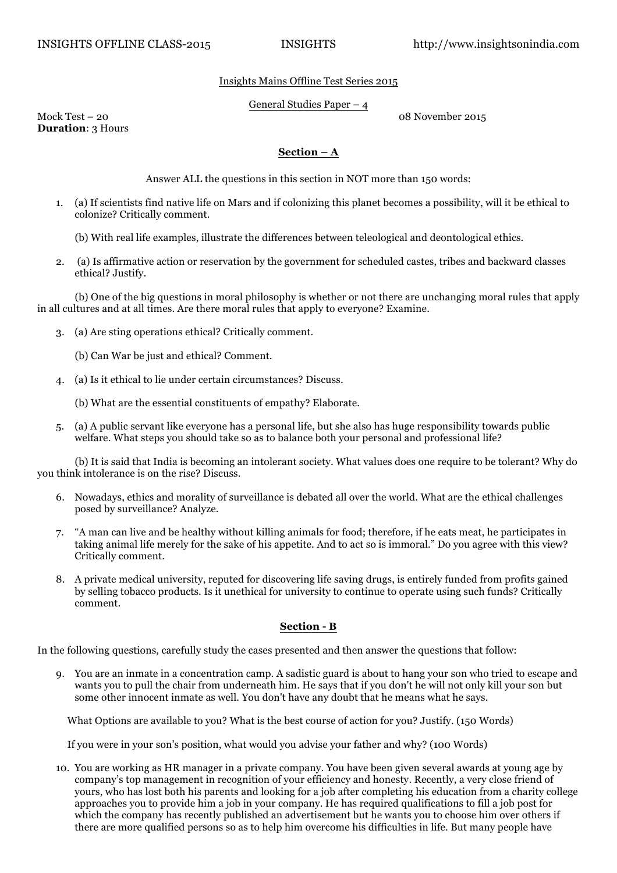## Insights Mains Offline Test Series 2015

## General Studies Paper – 4

Mock Test – 20 08 November 2015

**Duration**: 3 Hours

## **Section – A**

Answer ALL the questions in this section in NOT more than 150 words:

- 1. (a) If scientists find native life on Mars and if colonizing this planet becomes a possibility, will it be ethical to colonize? Critically comment.
	- (b) With real life examples, illustrate the differences between teleological and deontological ethics.
- 2. (a) Is affirmative action or reservation by the government for scheduled castes, tribes and backward classes ethical? Justify.

 (b) One of the big questions in moral philosophy is whether or not there are unchanging moral rules that apply in all cultures and at all times. Are there moral rules that apply to everyone? Examine.

- 3. (a) Are sting operations ethical? Critically comment.
	- (b) Can War be just and ethical? Comment.
- 4. (a) Is it ethical to lie under certain circumstances? Discuss.
	- (b) What are the essential constituents of empathy? Elaborate.
- 5. (a) A public servant like everyone has a personal life, but she also has huge responsibility towards public welfare. What steps you should take so as to balance both your personal and professional life?

 (b) It is said that India is becoming an intolerant society. What values does one require to be tolerant? Why do you think intolerance is on the rise? Discuss.

- 6. Nowadays, ethics and morality of surveillance is debated all over the world. What are the ethical challenges posed by surveillance? Analyze.
- 7. "A man can live and be healthy without killing animals for food; therefore, if he eats meat, he participates in taking animal life merely for the sake of his appetite. And to act so is immoral." Do you agree with this view? Critically comment.
- 8. A private medical university, reputed for discovering life saving drugs, is entirely funded from profits gained by selling tobacco products. Is it unethical for university to continue to operate using such funds? Critically comment.

## **Section - B**

In the following questions, carefully study the cases presented and then answer the questions that follow:

9. You are an inmate in a concentration camp. A sadistic guard is about to hang your son who tried to escape and wants you to pull the chair from underneath him. He says that if you don't he will not only kill your son but some other innocent inmate as well. You don't have any doubt that he means what he says.

What Options are available to you? What is the best course of action for you? Justify. (150 Words)

If you were in your son's position, what would you advise your father and why? (100 Words)

10. You are working as HR manager in a private company. You have been given several awards at young age by company's top management in recognition of your efficiency and honesty. Recently, a very close friend of yours, who has lost both his parents and looking for a job after completing his education from a charity college approaches you to provide him a job in your company. He has required qualifications to fill a job post for which the company has recently published an advertisement but he wants you to choose him over others if there are more qualified persons so as to help him overcome his difficulties in life. But many people have